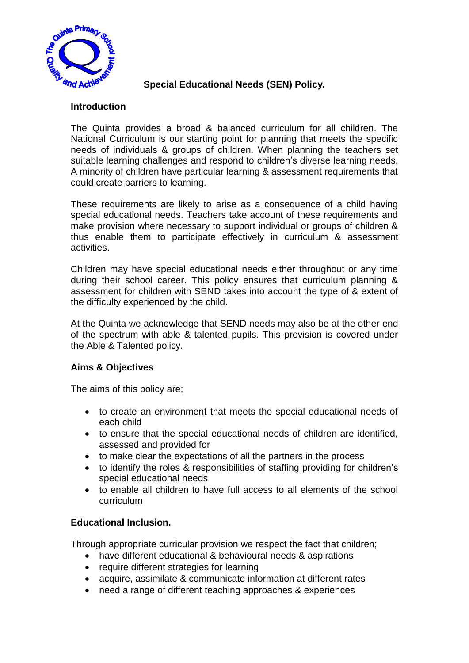

## **Special Educational Needs (SEN) Policy.**

## **Introduction**

The Quinta provides a broad & balanced curriculum for all children. The National Curriculum is our starting point for planning that meets the specific needs of individuals & groups of children. When planning the teachers set suitable learning challenges and respond to children's diverse learning needs. A minority of children have particular learning & assessment requirements that could create barriers to learning.

These requirements are likely to arise as a consequence of a child having special educational needs. Teachers take account of these requirements and make provision where necessary to support individual or groups of children & thus enable them to participate effectively in curriculum & assessment activities.

Children may have special educational needs either throughout or any time during their school career. This policy ensures that curriculum planning & assessment for children with SEND takes into account the type of & extent of the difficulty experienced by the child.

At the Quinta we acknowledge that SEND needs may also be at the other end of the spectrum with able & talented pupils. This provision is covered under the Able & Talented policy.

# **Aims & Objectives**

The aims of this policy are;

- to create an environment that meets the special educational needs of each child
- to ensure that the special educational needs of children are identified, assessed and provided for
- to make clear the expectations of all the partners in the process
- to identify the roles & responsibilities of staffing providing for children's special educational needs
- to enable all children to have full access to all elements of the school curriculum

# **Educational Inclusion.**

Through appropriate curricular provision we respect the fact that children;

- have different educational & behavioural needs & aspirations
- require different strategies for learning
- acquire, assimilate & communicate information at different rates
- need a range of different teaching approaches & experiences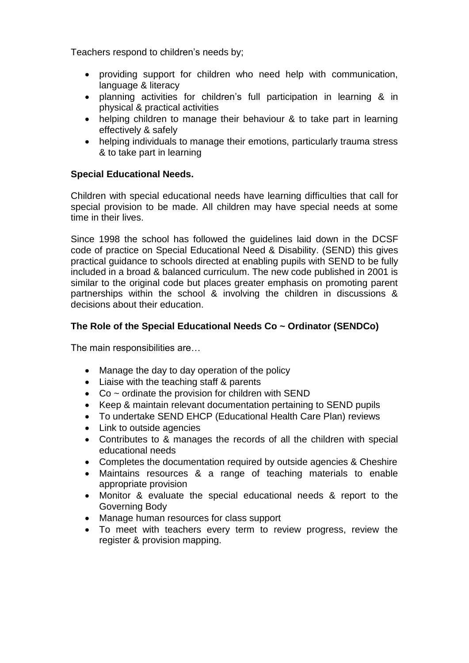Teachers respond to children's needs by;

- providing support for children who need help with communication, language & literacy
- planning activities for children's full participation in learning & in physical & practical activities
- helping children to manage their behaviour & to take part in learning effectively & safely
- helping individuals to manage their emotions, particularly trauma stress & to take part in learning

## **Special Educational Needs.**

Children with special educational needs have learning difficulties that call for special provision to be made. All children may have special needs at some time in their lives.

Since 1998 the school has followed the guidelines laid down in the DCSF code of practice on Special Educational Need & Disability. (SEND) this gives practical guidance to schools directed at enabling pupils with SEND to be fully included in a broad & balanced curriculum. The new code published in 2001 is similar to the original code but places greater emphasis on promoting parent partnerships within the school & involving the children in discussions & decisions about their education.

# **The Role of the Special Educational Needs Co ~ Ordinator (SENDCo)**

The main responsibilities are…

- Manage the day to day operation of the policy
- Liaise with the teaching staff & parents
- $\bullet$  Co ~ ordinate the provision for children with SEND
- Keep & maintain relevant documentation pertaining to SEND pupils
- To undertake SEND EHCP (Educational Health Care Plan) reviews
- Link to outside agencies
- Contributes to & manages the records of all the children with special educational needs
- Completes the documentation required by outside agencies & Cheshire
- Maintains resources & a range of teaching materials to enable appropriate provision
- Monitor & evaluate the special educational needs & report to the Governing Body
- Manage human resources for class support
- To meet with teachers every term to review progress, review the register & provision mapping.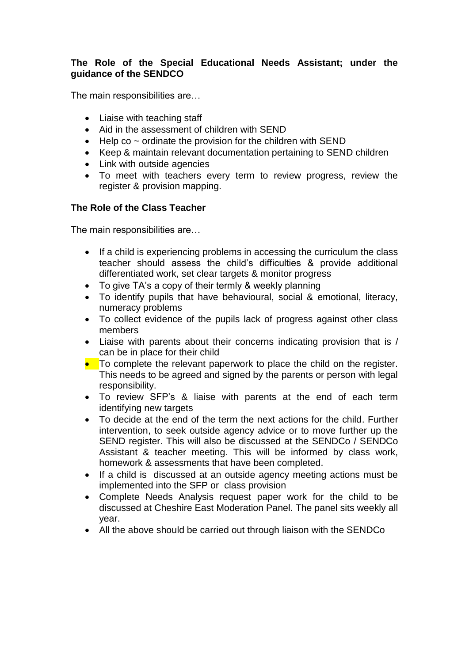## **The Role of the Special Educational Needs Assistant; under the guidance of the SENDCO**

The main responsibilities are…

- Liaise with teaching staff
- Aid in the assessment of children with SEND
- $\bullet$  Help co  $\sim$  ordinate the provision for the children with SEND
- Keep & maintain relevant documentation pertaining to SEND children
- Link with outside agencies
- To meet with teachers every term to review progress, review the register & provision mapping.

# **The Role of the Class Teacher**

The main responsibilities are…

- If a child is experiencing problems in accessing the curriculum the class teacher should assess the child's difficulties & provide additional differentiated work, set clear targets & monitor progress
- To give TA's a copy of their termly & weekly planning
- To identify pupils that have behavioural, social & emotional, literacy, numeracy problems
- To collect evidence of the pupils lack of progress against other class members
- Liaise with parents about their concerns indicating provision that is / can be in place for their child
- To complete the relevant paperwork to place the child on the register. This needs to be agreed and signed by the parents or person with legal responsibility.
- To review SFP's & liaise with parents at the end of each term identifying new targets
- To decide at the end of the term the next actions for the child. Further intervention, to seek outside agency advice or to move further up the SEND register. This will also be discussed at the SENDCo / SENDCo Assistant & teacher meeting. This will be informed by class work, homework & assessments that have been completed.
- If a child is discussed at an outside agency meeting actions must be implemented into the SFP or class provision
- Complete Needs Analysis request paper work for the child to be discussed at Cheshire East Moderation Panel. The panel sits weekly all year.
- All the above should be carried out through liaison with the SENDCo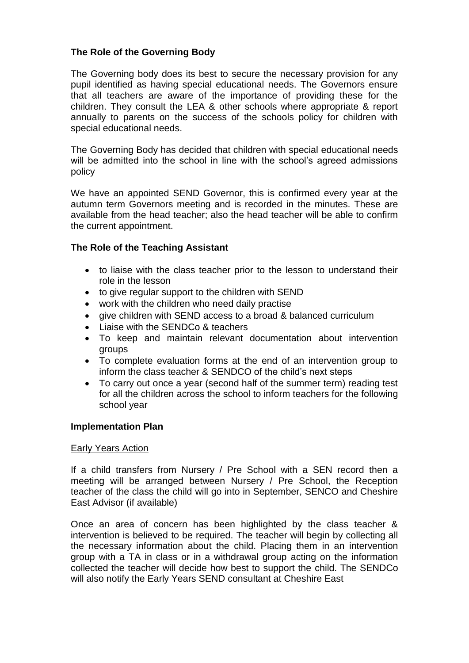## **The Role of the Governing Body**

The Governing body does its best to secure the necessary provision for any pupil identified as having special educational needs. The Governors ensure that all teachers are aware of the importance of providing these for the children. They consult the LEA & other schools where appropriate & report annually to parents on the success of the schools policy for children with special educational needs.

The Governing Body has decided that children with special educational needs will be admitted into the school in line with the school's agreed admissions policy

We have an appointed SEND Governor, this is confirmed every year at the autumn term Governors meeting and is recorded in the minutes. These are available from the head teacher; also the head teacher will be able to confirm the current appointment.

### **The Role of the Teaching Assistant**

- to liaise with the class teacher prior to the lesson to understand their role in the lesson
- to give regular support to the children with SEND
- work with the children who need daily practise
- give children with SEND access to a broad & balanced curriculum
- Liaise with the SENDCo & teachers
- To keep and maintain relevant documentation about intervention groups
- To complete evaluation forms at the end of an intervention group to inform the class teacher & SENDCO of the child's next steps
- To carry out once a year (second half of the summer term) reading test for all the children across the school to inform teachers for the following school year

#### **Implementation Plan**

#### Early Years Action

If a child transfers from Nursery / Pre School with a SEN record then a meeting will be arranged between Nursery / Pre School, the Reception teacher of the class the child will go into in September, SENCO and Cheshire East Advisor (if available)

Once an area of concern has been highlighted by the class teacher & intervention is believed to be required. The teacher will begin by collecting all the necessary information about the child. Placing them in an intervention group with a TA in class or in a withdrawal group acting on the information collected the teacher will decide how best to support the child. The SENDCo will also notify the Early Years SEND consultant at Cheshire East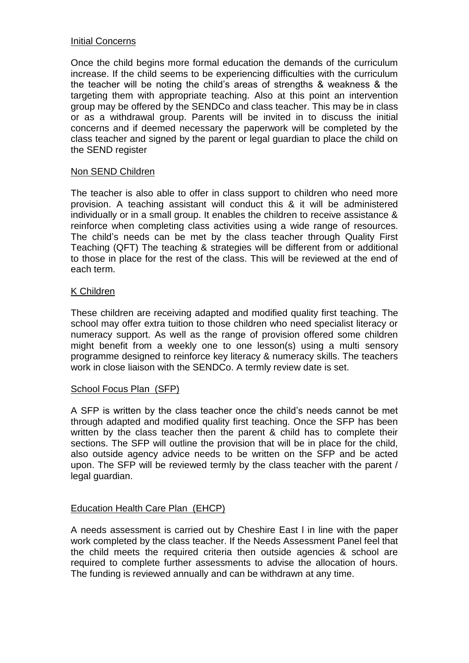### Initial Concerns

Once the child begins more formal education the demands of the curriculum increase. If the child seems to be experiencing difficulties with the curriculum the teacher will be noting the child's areas of strengths & weakness & the targeting them with appropriate teaching. Also at this point an intervention group may be offered by the SENDCo and class teacher. This may be in class or as a withdrawal group. Parents will be invited in to discuss the initial concerns and if deemed necessary the paperwork will be completed by the class teacher and signed by the parent or legal guardian to place the child on the SEND register

### Non SEND Children

The teacher is also able to offer in class support to children who need more provision. A teaching assistant will conduct this & it will be administered individually or in a small group. It enables the children to receive assistance & reinforce when completing class activities using a wide range of resources. The child's needs can be met by the class teacher through Quality First Teaching (QFT) The teaching & strategies will be different from or additional to those in place for the rest of the class. This will be reviewed at the end of each term.

### K Children

These children are receiving adapted and modified quality first teaching. The school may offer extra tuition to those children who need specialist literacy or numeracy support. As well as the range of provision offered some children might benefit from a weekly one to one lesson(s) using a multi sensory programme designed to reinforce key literacy & numeracy skills. The teachers work in close liaison with the SENDCo. A termly review date is set.

### School Focus Plan (SFP)

A SFP is written by the class teacher once the child's needs cannot be met through adapted and modified quality first teaching. Once the SFP has been written by the class teacher then the parent & child has to complete their sections. The SFP will outline the provision that will be in place for the child, also outside agency advice needs to be written on the SFP and be acted upon. The SFP will be reviewed termly by the class teacher with the parent / legal guardian.

### Education Health Care Plan (EHCP)

A needs assessment is carried out by Cheshire East l in line with the paper work completed by the class teacher. If the Needs Assessment Panel feel that the child meets the required criteria then outside agencies & school are required to complete further assessments to advise the allocation of hours. The funding is reviewed annually and can be withdrawn at any time.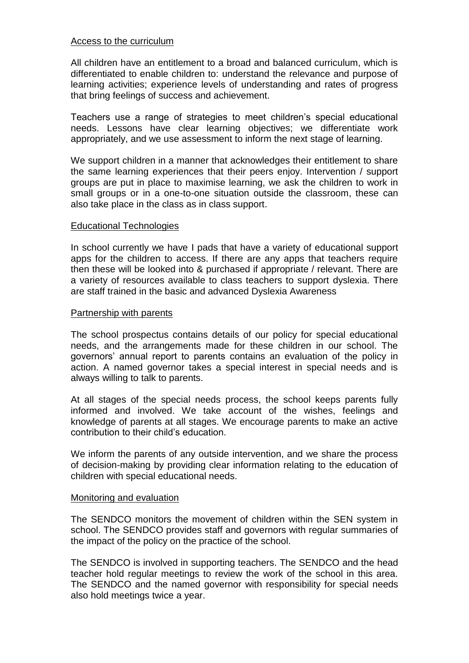### Access to the curriculum

All children have an entitlement to a broad and balanced curriculum, which is differentiated to enable children to: understand the relevance and purpose of learning activities; experience levels of understanding and rates of progress that bring feelings of success and achievement.

Teachers use a range of strategies to meet children's special educational needs. Lessons have clear learning objectives; we differentiate work appropriately, and we use assessment to inform the next stage of learning.

We support children in a manner that acknowledges their entitlement to share the same learning experiences that their peers enjoy. Intervention / support groups are put in place to maximise learning, we ask the children to work in small groups or in a one-to-one situation outside the classroom, these can also take place in the class as in class support.

### Educational Technologies

In school currently we have I pads that have a variety of educational support apps for the children to access. If there are any apps that teachers require then these will be looked into & purchased if appropriate / relevant. There are a variety of resources available to class teachers to support dyslexia. There are staff trained in the basic and advanced Dyslexia Awareness

### Partnership with parents

The school prospectus contains details of our policy for special educational needs, and the arrangements made for these children in our school. The governors' annual report to parents contains an evaluation of the policy in action. A named governor takes a special interest in special needs and is always willing to talk to parents.

At all stages of the special needs process, the school keeps parents fully informed and involved. We take account of the wishes, feelings and knowledge of parents at all stages. We encourage parents to make an active contribution to their child's education.

We inform the parents of any outside intervention, and we share the process of decision-making by providing clear information relating to the education of children with special educational needs.

#### Monitoring and evaluation

The SENDCO monitors the movement of children within the SEN system in school. The SENDCO provides staff and governors with regular summaries of the impact of the policy on the practice of the school.

The SENDCO is involved in supporting teachers. The SENDCO and the head teacher hold regular meetings to review the work of the school in this area. The SENDCO and the named governor with responsibility for special needs also hold meetings twice a year.